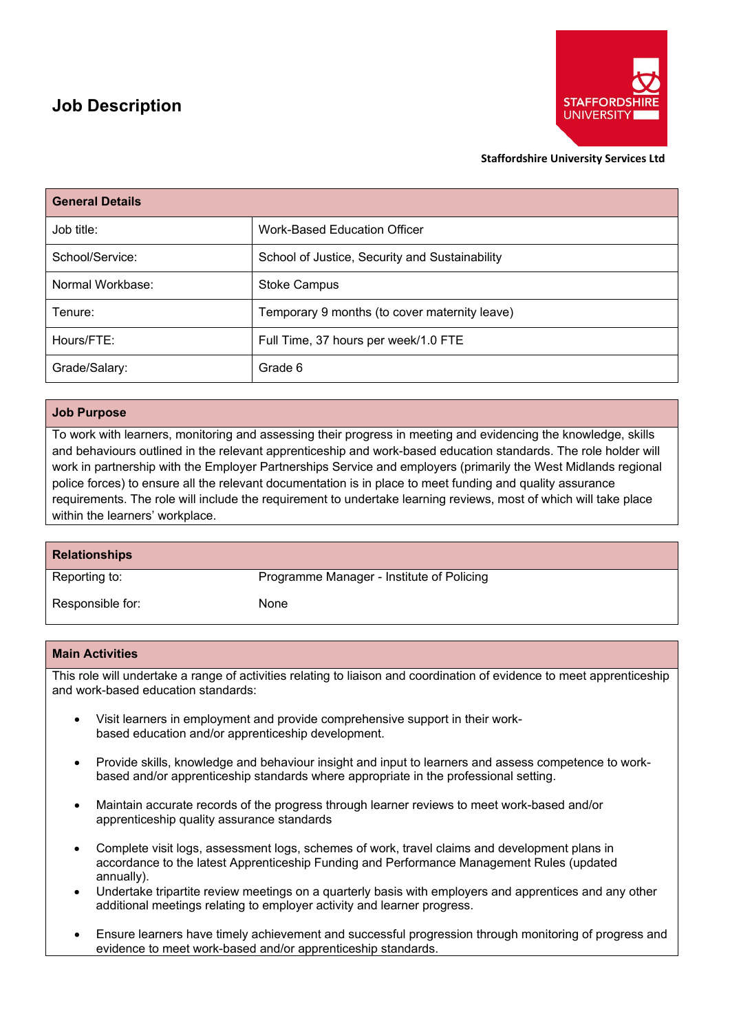# **Job Description**



#### **Staffordshire University Services Ltd**

| <b>General Details</b> |                                                |
|------------------------|------------------------------------------------|
| Job title:             | <b>Work-Based Education Officer</b>            |
| School/Service:        | School of Justice, Security and Sustainability |
| Normal Workbase:       | <b>Stoke Campus</b>                            |
| Tenure:                | Temporary 9 months (to cover maternity leave)  |
| Hours/FTE:             | Full Time, 37 hours per week/1.0 FTE           |
| Grade/Salary:          | Grade 6                                        |

## **Job Purpose**

To work with learners, monitoring and assessing their progress in meeting and evidencing the knowledge, skills and behaviours outlined in the relevant apprenticeship and work-based education standards. The role holder will work in partnership with the Employer Partnerships Service and employers (primarily the West Midlands regional police forces) to ensure all the relevant documentation is in place to meet funding and quality assurance requirements. The role will include the requirement to undertake learning reviews, most of which will take place within the learners' workplace.

| <b>Relationships</b> |                                           |
|----------------------|-------------------------------------------|
| Reporting to:        | Programme Manager - Institute of Policing |
| Responsible for:     | <b>None</b>                               |

### **Main Activities**

This role will undertake a range of activities relating to liaison and coordination of evidence to meet apprenticeship and work-based education standards:

- Visit learners in employment and provide comprehensive support in their workbased education and/or apprenticeship development.
- Provide skills, knowledge and behaviour insight and input to learners and assess competence to workbased and/or apprenticeship standards where appropriate in the professional setting.
- Maintain accurate records of the progress through learner reviews to meet work-based and/or apprenticeship quality assurance standards
- Complete visit logs, assessment logs, schemes of work, travel claims and development plans in accordance to the latest Apprenticeship Funding and Performance Management Rules (updated annually).
- Undertake tripartite review meetings on a quarterly basis with employers and apprentices and any other additional meetings relating to employer activity and learner progress.
- Ensure learners have timely achievement and successful progression through monitoring of progress and evidence to meet work-based and/or apprenticeship standards.